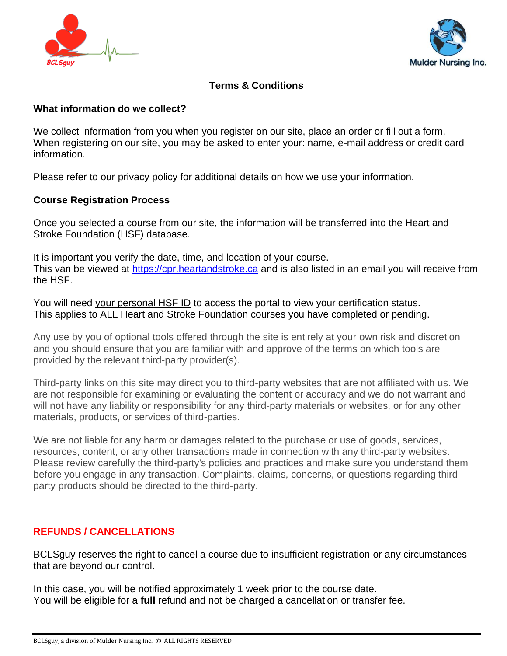



# **Terms & Conditions**

#### **What information do we collect?**

We collect information from you when you register on our site, place an order or fill out a form. When registering on our site, you may be asked to enter your: name, e-mail address or credit card information.

Please refer to our privacy policy for additional details on how we use your information.

## **Course Registration Process**

Once you selected a course from our site, the information will be transferred into the Heart and Stroke Foundation (HSF) database.

It is important you verify the date, time, and location of your course. This van be viewed at [https://cpr.heartandstroke.ca](https://cpr.heartandstroke.ca/) and is also listed in an email you will receive from the HSF.

You will need your personal HSF ID to access the portal to view your certification status. This applies to ALL Heart and Stroke Foundation courses you have completed or pending.

Any use by you of optional tools offered through the site is entirely at your own risk and discretion and you should ensure that you are familiar with and approve of the terms on which tools are provided by the relevant third-party provider(s).

Third-party links on this site may direct you to third-party websites that are not affiliated with us. We are not responsible for examining or evaluating the content or accuracy and we do not warrant and will not have any liability or responsibility for any third-party materials or websites, or for any other materials, products, or services of third-parties.

We are not liable for any harm or damages related to the purchase or use of goods, services, resources, content, or any other transactions made in connection with any third-party websites. Please review carefully the third-party's policies and practices and make sure you understand them before you engage in any transaction. Complaints, claims, concerns, or questions regarding thirdparty products should be directed to the third-party.

# **REFUNDS / CANCELLATIONS**

BCLSguy reserves the right to cancel a course due to insufficient registration or any circumstances that are beyond our control.

In this case, you will be notified approximately 1 week prior to the course date. You will be eligible for a **full** refund and not be charged a cancellation or transfer fee.